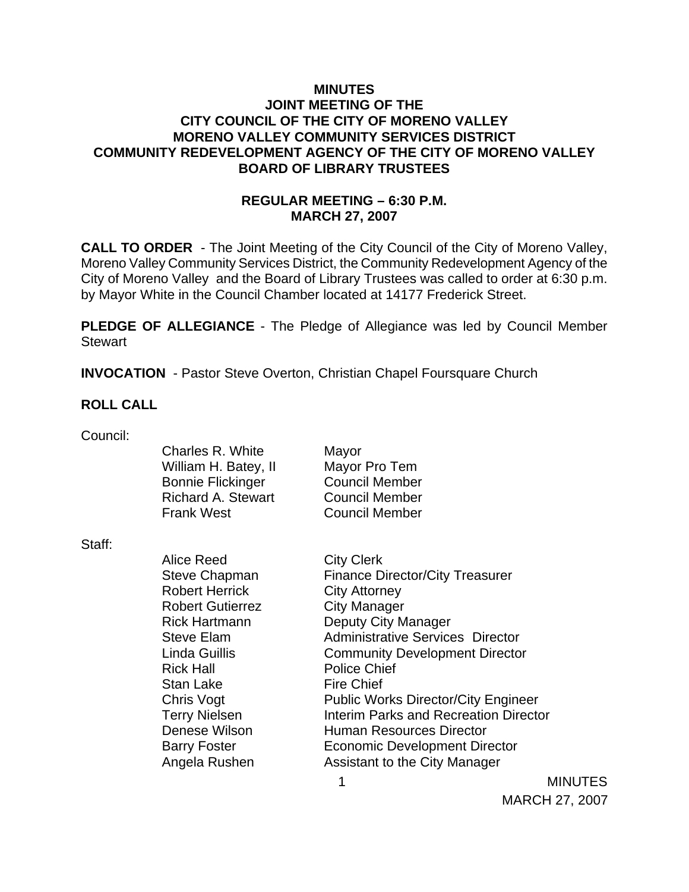## **MINUTES JOINT MEETING OF THE CITY COUNCIL OF THE CITY OF MORENO VALLEY MORENO VALLEY COMMUNITY SERVICES DISTRICT COMMUNITY REDEVELOPMENT AGENCY OF THE CITY OF MORENO VALLEY BOARD OF LIBRARY TRUSTEES**

## **REGULAR MEETING – 6:30 P.M. MARCH 27, 2007**

**CALL TO ORDER** - The Joint Meeting of the City Council of the City of Moreno Valley, Moreno Valley Community Services District, the Community Redevelopment Agency of the City of Moreno Valley and the Board of Library Trustees was called to order at 6:30 p.m. by Mayor White in the Council Chamber located at 14177 Frederick Street.

**PLEDGE OF ALLEGIANCE** - The Pledge of Allegiance was led by Council Member **Stewart** 

**INVOCATION** - Pastor Steve Overton, Christian Chapel Foursquare Church

### **ROLL CALL**

| Council: |  |
|----------|--|
|          |  |

| Charles R. White         |  |
|--------------------------|--|
| William H. Batey, II     |  |
| <b>Bonnie Flickinger</b> |  |
| Richard A. Stewart       |  |
| Frank West               |  |

Mayor Mayor Pro Tem Council Member Council Member Council Member

#### Staff:

Alice Reed City Clerk Robert Herrick City Attorney Robert Gutierrez **City Manager** Rick Hartmann Deputy City Manager Rick Hall **Police Chief** Stan Lake Fire Chief Denese Wilson **Human Resources Director** 

Steve Chapman Finance Director/City Treasurer Steve Elam Administrative Services Director Linda Guillis Community Development Director Chris Vogt **Public Works Director/City Engineer** Terry Nielsen **Interim Parks and Recreation Director** Barry Foster **Economic Development Director** Angela Rushen Assistant to the City Manager

 1 MINUTES MARCH 27, 2007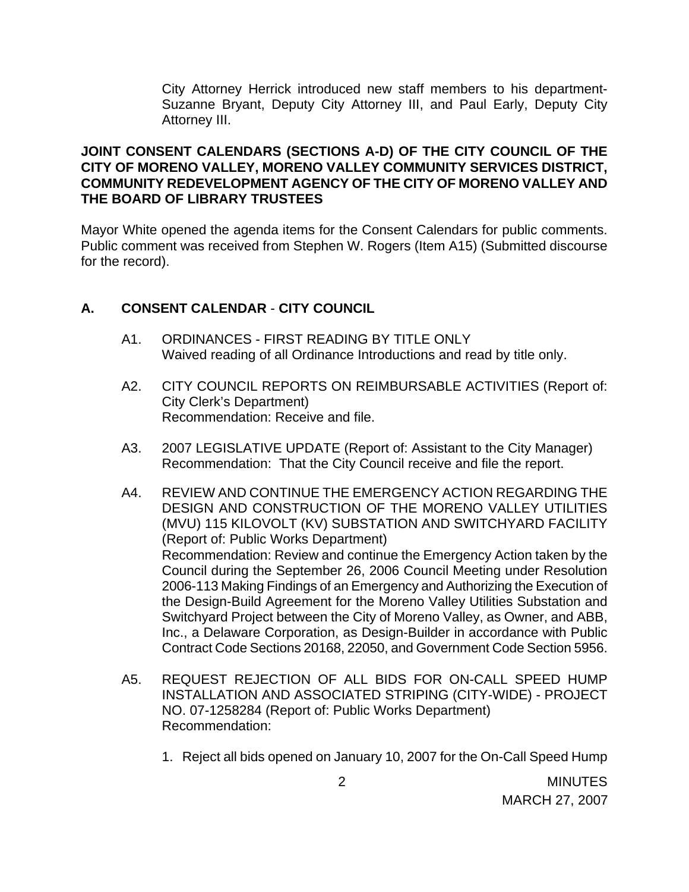City Attorney Herrick introduced new staff members to his department- Suzanne Bryant, Deputy City Attorney III, and Paul Early, Deputy City Attorney III.

## **JOINT CONSENT CALENDARS (SECTIONS A-D) OF THE CITY COUNCIL OF THE CITY OF MORENO VALLEY, MORENO VALLEY COMMUNITY SERVICES DISTRICT, COMMUNITY REDEVELOPMENT AGENCY OF THE CITY OF MORENO VALLEY AND THE BOARD OF LIBRARY TRUSTEES**

Mayor White opened the agenda items for the Consent Calendars for public comments. Public comment was received from Stephen W. Rogers (Item A15) (Submitted discourse for the record).

## **A. CONSENT CALENDAR** - **CITY COUNCIL**

- A1. ORDINANCES FIRST READING BY TITLE ONLY Waived reading of all Ordinance Introductions and read by title only.
- A2. CITY COUNCIL REPORTS ON REIMBURSABLE ACTIVITIES (Report of: City Clerk's Department) Recommendation: Receive and file.
- A3. 2007 LEGISLATIVE UPDATE (Report of: Assistant to the City Manager) Recommendation: That the City Council receive and file the report.
- A4. REVIEW AND CONTINUE THE EMERGENCY ACTION REGARDING THE DESIGN AND CONSTRUCTION OF THE MORENO VALLEY UTILITIES (MVU) 115 KILOVOLT (KV) SUBSTATION AND SWITCHYARD FACILITY (Report of: Public Works Department) Recommendation: Review and continue the Emergency Action taken by the Council during the September 26, 2006 Council Meeting under Resolution 2006-113 Making Findings of an Emergency and Authorizing the Execution of the Design-Build Agreement for the Moreno Valley Utilities Substation and Switchyard Project between the City of Moreno Valley, as Owner, and ABB, Inc., a Delaware Corporation, as Design-Builder in accordance with Public Contract Code Sections 20168, 22050, and Government Code Section 5956.
- A5. REQUEST REJECTION OF ALL BIDS FOR ON-CALL SPEED HUMP INSTALLATION AND ASSOCIATED STRIPING (CITY-WIDE) - PROJECT NO. 07-1258284 (Report of: Public Works Department) Recommendation:
	- 1. Reject all bids opened on January 10, 2007 for the On-Call Speed Hump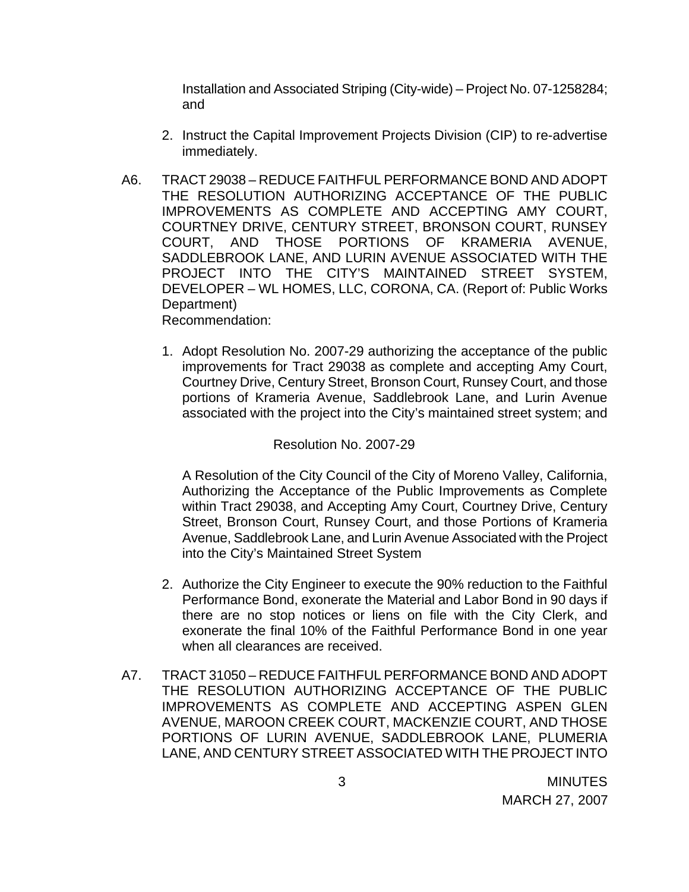Installation and Associated Striping (City-wide) – Project No. 07-1258284; and

- 2. Instruct the Capital Improvement Projects Division (CIP) to re-advertise immediately.
- A6. TRACT 29038 REDUCE FAITHFUL PERFORMANCE BOND AND ADOPT THE RESOLUTION AUTHORIZING ACCEPTANCE OF THE PUBLIC IMPROVEMENTS AS COMPLETE AND ACCEPTING AMY COURT, COURTNEY DRIVE, CENTURY STREET, BRONSON COURT, RUNSEY COURT, AND THOSE PORTIONS OF KRAMERIA AVENUE, SADDLEBROOK LANE, AND LURIN AVENUE ASSOCIATED WITH THE PROJECT INTO THE CITY'S MAINTAINED STREET SYSTEM, DEVELOPER – WL HOMES, LLC, CORONA, CA. (Report of: Public Works Department) Recommendation:
	- 1. Adopt Resolution No. 2007-29 authorizing the acceptance of the public improvements for Tract 29038 as complete and accepting Amy Court, Courtney Drive, Century Street, Bronson Court, Runsey Court, and those portions of Krameria Avenue, Saddlebrook Lane, and Lurin Avenue associated with the project into the City's maintained street system; and

#### Resolution No. 2007-29

A Resolution of the City Council of the City of Moreno Valley, California, Authorizing the Acceptance of the Public Improvements as Complete within Tract 29038, and Accepting Amy Court, Courtney Drive, Century Street, Bronson Court, Runsey Court, and those Portions of Krameria Avenue, Saddlebrook Lane, and Lurin Avenue Associated with the Project into the City's Maintained Street System

- 2. Authorize the City Engineer to execute the 90% reduction to the Faithful Performance Bond, exonerate the Material and Labor Bond in 90 days if there are no stop notices or liens on file with the City Clerk, and exonerate the final 10% of the Faithful Performance Bond in one year when all clearances are received.
- A7. TRACT 31050 REDUCE FAITHFUL PERFORMANCE BOND AND ADOPT THE RESOLUTION AUTHORIZING ACCEPTANCE OF THE PUBLIC IMPROVEMENTS AS COMPLETE AND ACCEPTING ASPEN GLEN AVENUE, MAROON CREEK COURT, MACKENZIE COURT, AND THOSE PORTIONS OF LURIN AVENUE, SADDLEBROOK LANE, PLUMERIA LANE, AND CENTURY STREET ASSOCIATED WITH THE PROJECT INTO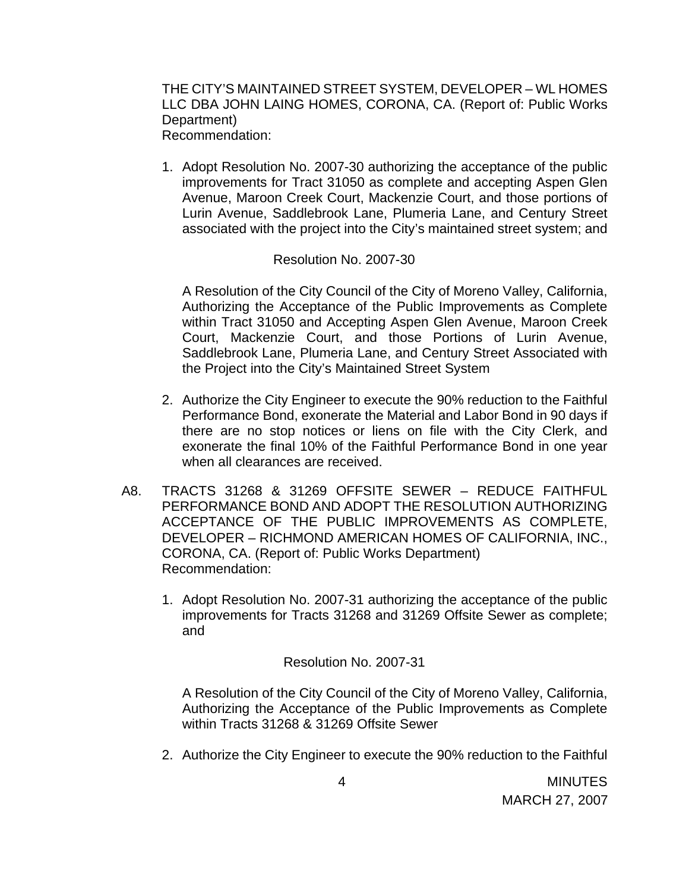THE CITY'S MAINTAINED STREET SYSTEM, DEVELOPER – WL HOMES LLC DBA JOHN LAING HOMES, CORONA, CA. (Report of: Public Works Department) Recommendation:

1. Adopt Resolution No. 2007-30 authorizing the acceptance of the public improvements for Tract 31050 as complete and accepting Aspen Glen Avenue, Maroon Creek Court, Mackenzie Court, and those portions of Lurin Avenue, Saddlebrook Lane, Plumeria Lane, and Century Street associated with the project into the City's maintained street system; and

### Resolution No. 2007-30

A Resolution of the City Council of the City of Moreno Valley, California, Authorizing the Acceptance of the Public Improvements as Complete within Tract 31050 and Accepting Aspen Glen Avenue, Maroon Creek Court, Mackenzie Court, and those Portions of Lurin Avenue, Saddlebrook Lane, Plumeria Lane, and Century Street Associated with the Project into the City's Maintained Street System

- 2. Authorize the City Engineer to execute the 90% reduction to the Faithful Performance Bond, exonerate the Material and Labor Bond in 90 days if there are no stop notices or liens on file with the City Clerk, and exonerate the final 10% of the Faithful Performance Bond in one year when all clearances are received.
- A8. TRACTS 31268 & 31269 OFFSITE SEWER REDUCE FAITHFUL PERFORMANCE BOND AND ADOPT THE RESOLUTION AUTHORIZING ACCEPTANCE OF THE PUBLIC IMPROVEMENTS AS COMPLETE, DEVELOPER – RICHMOND AMERICAN HOMES OF CALIFORNIA, INC., CORONA, CA. (Report of: Public Works Department) Recommendation:
	- 1. Adopt Resolution No. 2007-31 authorizing the acceptance of the public improvements for Tracts 31268 and 31269 Offsite Sewer as complete; and

Resolution No. 2007-31

A Resolution of the City Council of the City of Moreno Valley, California, Authorizing the Acceptance of the Public Improvements as Complete within Tracts 31268 & 31269 Offsite Sewer

2. Authorize the City Engineer to execute the 90% reduction to the Faithful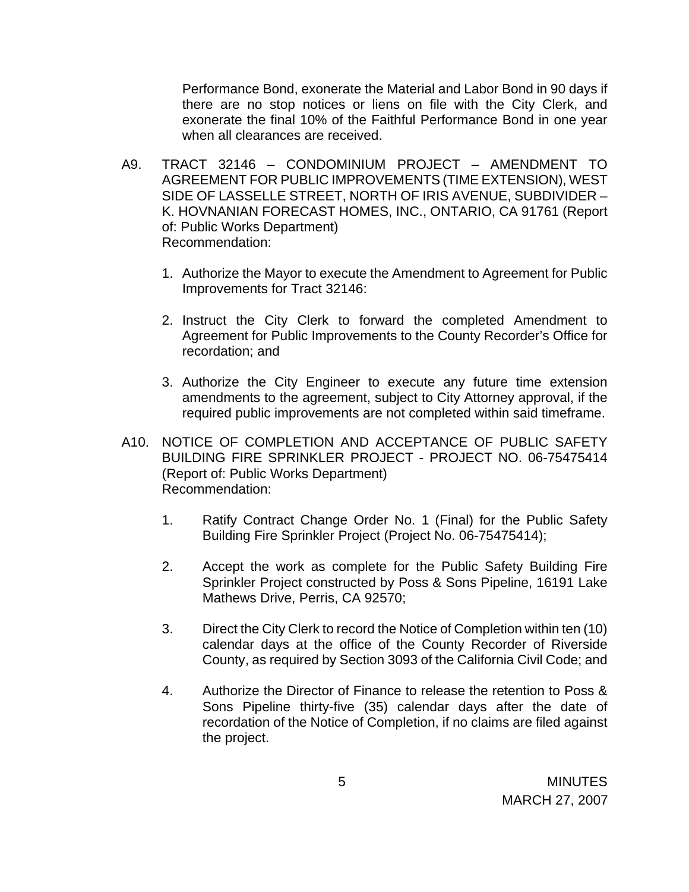Performance Bond, exonerate the Material and Labor Bond in 90 days if there are no stop notices or liens on file with the City Clerk, and exonerate the final 10% of the Faithful Performance Bond in one year when all clearances are received.

- A9. TRACT 32146 CONDOMINIUM PROJECT AMENDMENT TO AGREEMENT FOR PUBLIC IMPROVEMENTS (TIME EXTENSION), WEST SIDE OF LASSELLE STREET, NORTH OF IRIS AVENUE, SUBDIVIDER – K. HOVNANIAN FORECAST HOMES, INC., ONTARIO, CA 91761 (Report of: Public Works Department) Recommendation:
	- 1. Authorize the Mayor to execute the Amendment to Agreement for Public Improvements for Tract 32146:
	- 2. Instruct the City Clerk to forward the completed Amendment to Agreement for Public Improvements to the County Recorder's Office for recordation; and
	- 3. Authorize the City Engineer to execute any future time extension amendments to the agreement, subject to City Attorney approval, if the required public improvements are not completed within said timeframe.
- A10. NOTICE OF COMPLETION AND ACCEPTANCE OF PUBLIC SAFETY BUILDING FIRE SPRINKLER PROJECT - PROJECT NO. 06-75475414 (Report of: Public Works Department) Recommendation:
	- 1. Ratify Contract Change Order No. 1 (Final) for the Public Safety Building Fire Sprinkler Project (Project No. 06-75475414);
	- 2. Accept the work as complete for the Public Safety Building Fire Sprinkler Project constructed by Poss & Sons Pipeline, 16191 Lake Mathews Drive, Perris, CA 92570;
	- 3. Direct the City Clerk to record the Notice of Completion within ten (10) calendar days at the office of the County Recorder of Riverside County, as required by Section 3093 of the California Civil Code; and
	- 4. Authorize the Director of Finance to release the retention to Poss & Sons Pipeline thirty-five (35) calendar days after the date of recordation of the Notice of Completion, if no claims are filed against the project.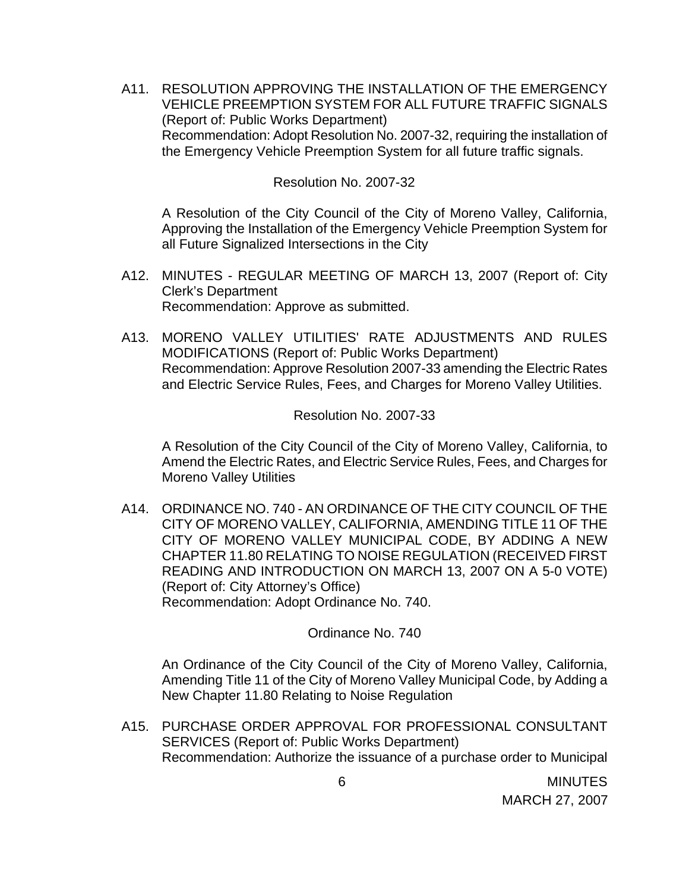A11. RESOLUTION APPROVING THE INSTALLATION OF THE EMERGENCY VEHICLE PREEMPTION SYSTEM FOR ALL FUTURE TRAFFIC SIGNALS (Report of: Public Works Department) Recommendation: Adopt Resolution No. 2007-32, requiring the installation of the Emergency Vehicle Preemption System for all future traffic signals.

#### Resolution No. 2007-32

A Resolution of the City Council of the City of Moreno Valley, California, Approving the Installation of the Emergency Vehicle Preemption System for all Future Signalized Intersections in the City

- A12. MINUTES REGULAR MEETING OF MARCH 13, 2007 (Report of: City Clerk's Department Recommendation: Approve as submitted.
- A13. MORENO VALLEY UTILITIES' RATE ADJUSTMENTS AND RULES MODIFICATIONS (Report of: Public Works Department) Recommendation: Approve Resolution 2007-33 amending the Electric Rates and Electric Service Rules, Fees, and Charges for Moreno Valley Utilities.

#### Resolution No. 2007-33

A Resolution of the City Council of the City of Moreno Valley, California, to Amend the Electric Rates, and Electric Service Rules, Fees, and Charges for Moreno Valley Utilities

A14. ORDINANCE NO. 740 - AN ORDINANCE OF THE CITY COUNCIL OF THE CITY OF MORENO VALLEY, CALIFORNIA, AMENDING TITLE 11 OF THE CITY OF MORENO VALLEY MUNICIPAL CODE, BY ADDING A NEW CHAPTER 11.80 RELATING TO NOISE REGULATION (RECEIVED FIRST READING AND INTRODUCTION ON MARCH 13, 2007 ON A 5-0 VOTE) (Report of: City Attorney's Office) Recommendation: Adopt Ordinance No. 740.

Ordinance No. 740

An Ordinance of the City Council of the City of Moreno Valley, California, Amending Title 11 of the City of Moreno Valley Municipal Code, by Adding a New Chapter 11.80 Relating to Noise Regulation

A15. PURCHASE ORDER APPROVAL FOR PROFESSIONAL CONSULTANT SERVICES (Report of: Public Works Department) Recommendation: Authorize the issuance of a purchase order to Municipal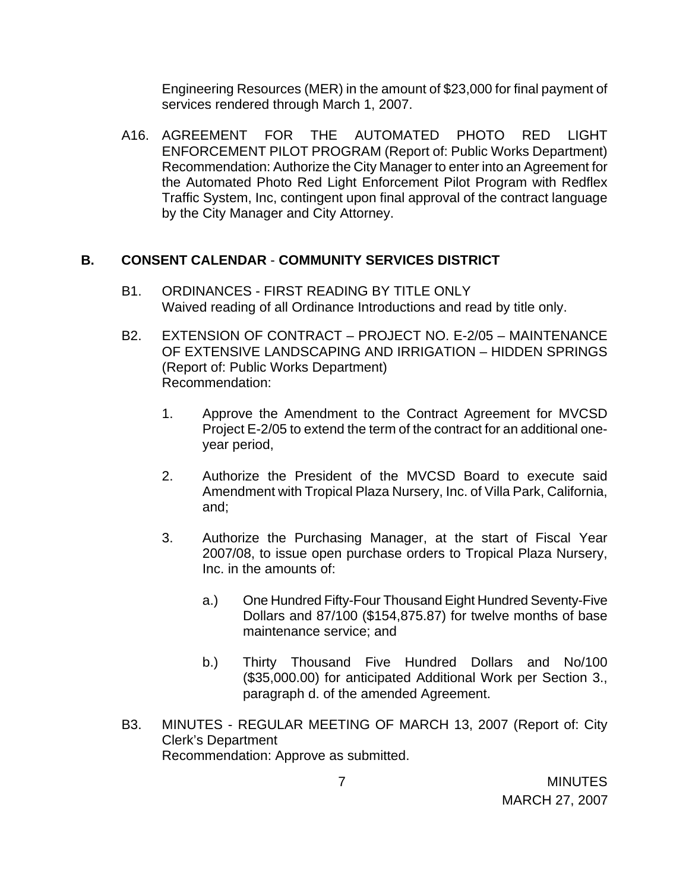Engineering Resources (MER) in the amount of \$23,000 for final payment of services rendered through March 1, 2007.

A16. AGREEMENT FOR THE AUTOMATED PHOTO RED LIGHT ENFORCEMENT PILOT PROGRAM (Report of: Public Works Department) Recommendation: Authorize the City Manager to enter into an Agreement for the Automated Photo Red Light Enforcement Pilot Program with Redflex Traffic System, Inc, contingent upon final approval of the contract language by the City Manager and City Attorney.

## **B. CONSENT CALENDAR** - **COMMUNITY SERVICES DISTRICT**

- B1. ORDINANCES FIRST READING BY TITLE ONLY Waived reading of all Ordinance Introductions and read by title only.
- B2. EXTENSION OF CONTRACT PROJECT NO. E-2/05 MAINTENANCE OF EXTENSIVE LANDSCAPING AND IRRIGATION – HIDDEN SPRINGS (Report of: Public Works Department) Recommendation:
	- 1. Approve the Amendment to the Contract Agreement for MVCSD Project E-2/05 to extend the term of the contract for an additional oneyear period,
	- 2. Authorize the President of the MVCSD Board to execute said Amendment with Tropical Plaza Nursery, Inc. of Villa Park, California, and;
	- 3. Authorize the Purchasing Manager, at the start of Fiscal Year 2007/08, to issue open purchase orders to Tropical Plaza Nursery, Inc. in the amounts of:
		- a.) One Hundred Fifty-Four Thousand Eight Hundred Seventy-Five Dollars and 87/100 (\$154,875.87) for twelve months of base maintenance service; and
		- b.) Thirty Thousand Five Hundred Dollars and No/100 (\$35,000.00) for anticipated Additional Work per Section 3., paragraph d. of the amended Agreement.
- B3. MINUTES REGULAR MEETING OF MARCH 13, 2007 (Report of: City Clerk's Department Recommendation: Approve as submitted.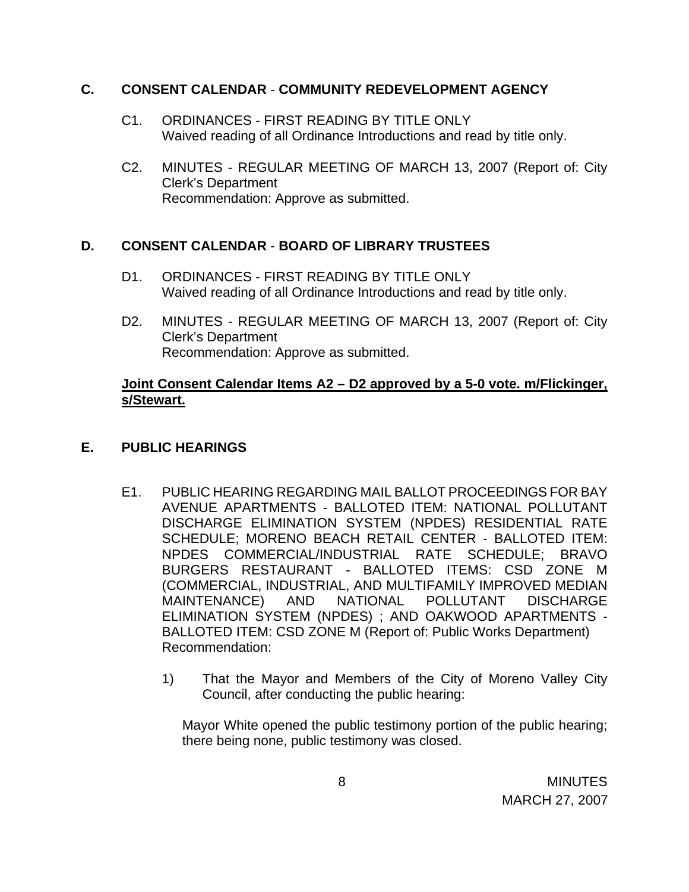## **C. CONSENT CALENDAR** - **COMMUNITY REDEVELOPMENT AGENCY**

- C1. ORDINANCES FIRST READING BY TITLE ONLY Waived reading of all Ordinance Introductions and read by title only.
- C2. MINUTES REGULAR MEETING OF MARCH 13, 2007 (Report of: City Clerk's Department Recommendation: Approve as submitted.

# **D. CONSENT CALENDAR** - **BOARD OF LIBRARY TRUSTEES**

- D1. ORDINANCES FIRST READING BY TITLE ONLY Waived reading of all Ordinance Introductions and read by title only.
- D2. MINUTES REGULAR MEETING OF MARCH 13, 2007 (Report of: City Clerk's Department Recommendation: Approve as submitted.

## **Joint Consent Calendar Items A2 – D2 approved by a 5-0 vote. m/Flickinger, s/Stewart.**

## **E. PUBLIC HEARINGS**

- E1. PUBLIC HEARING REGARDING MAIL BALLOT PROCEEDINGS FOR BAY AVENUE APARTMENTS - BALLOTED ITEM: NATIONAL POLLUTANT DISCHARGE ELIMINATION SYSTEM (NPDES) RESIDENTIAL RATE SCHEDULE; MORENO BEACH RETAIL CENTER - BALLOTED ITEM: NPDES COMMERCIAL/INDUSTRIAL RATE SCHEDULE; BRAVO BURGERS RESTAURANT - BALLOTED ITEMS: CSD ZONE M (COMMERCIAL, INDUSTRIAL, AND MULTIFAMILY IMPROVED MEDIAN MAINTENANCE) AND NATIONAL POLLUTANT DISCHARGE ELIMINATION SYSTEM (NPDES) ; AND OAKWOOD APARTMENTS - BALLOTED ITEM: CSD ZONE M (Report of: Public Works Department) Recommendation:
	- 1) That the Mayor and Members of the City of Moreno Valley City Council, after conducting the public hearing:

Mayor White opened the public testimony portion of the public hearing; there being none, public testimony was closed.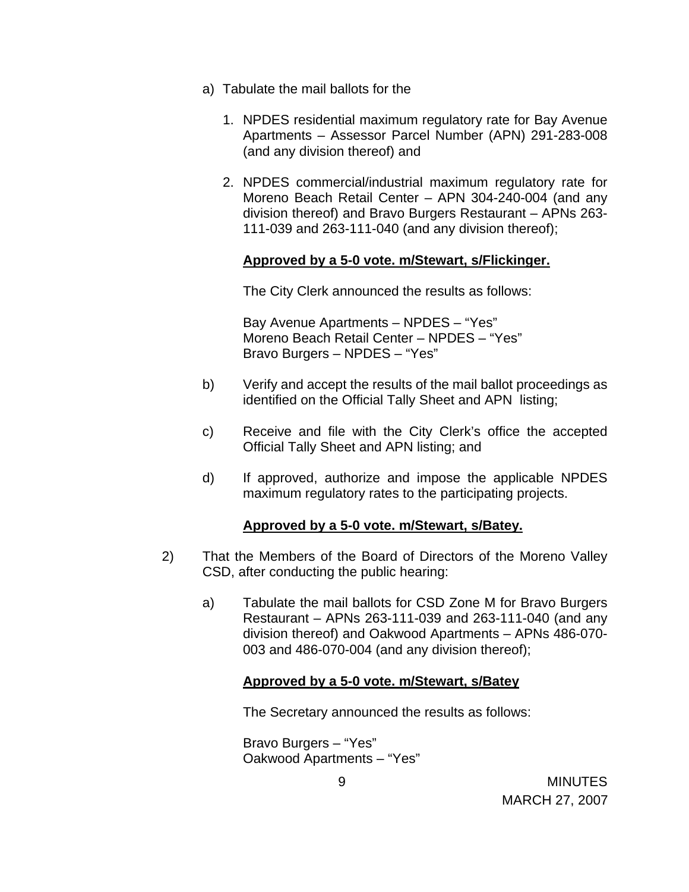- a) Tabulate the mail ballots for the
	- 1. NPDES residential maximum regulatory rate for Bay Avenue Apartments – Assessor Parcel Number (APN) 291-283-008 (and any division thereof) and
	- 2. NPDES commercial/industrial maximum regulatory rate for Moreno Beach Retail Center – APN 304-240-004 (and any division thereof) and Bravo Burgers Restaurant – APNs 263- 111-039 and 263-111-040 (and any division thereof);

#### **Approved by a 5-0 vote. m/Stewart, s/Flickinger.**

The City Clerk announced the results as follows:

 Bay Avenue Apartments – NPDES – "Yes" Moreno Beach Retail Center – NPDES – "Yes" Bravo Burgers – NPDES – "Yes"

- b) Verify and accept the results of the mail ballot proceedings as identified on the Official Tally Sheet and APN listing;
- c) Receive and file with the City Clerk's office the accepted Official Tally Sheet and APN listing; and
- d) If approved, authorize and impose the applicable NPDES maximum regulatory rates to the participating projects.

### **Approved by a 5-0 vote. m/Stewart, s/Batey.**

- 2) That the Members of the Board of Directors of the Moreno Valley CSD, after conducting the public hearing:
	- a) Tabulate the mail ballots for CSD Zone M for Bravo Burgers Restaurant – APNs 263-111-039 and 263-111-040 (and any division thereof) and Oakwood Apartments – APNs 486-070- 003 and 486-070-004 (and any division thereof);

### **Approved by a 5-0 vote. m/Stewart, s/Batey**

The Secretary announced the results as follows:

 Bravo Burgers – "Yes" Oakwood Apartments – "Yes"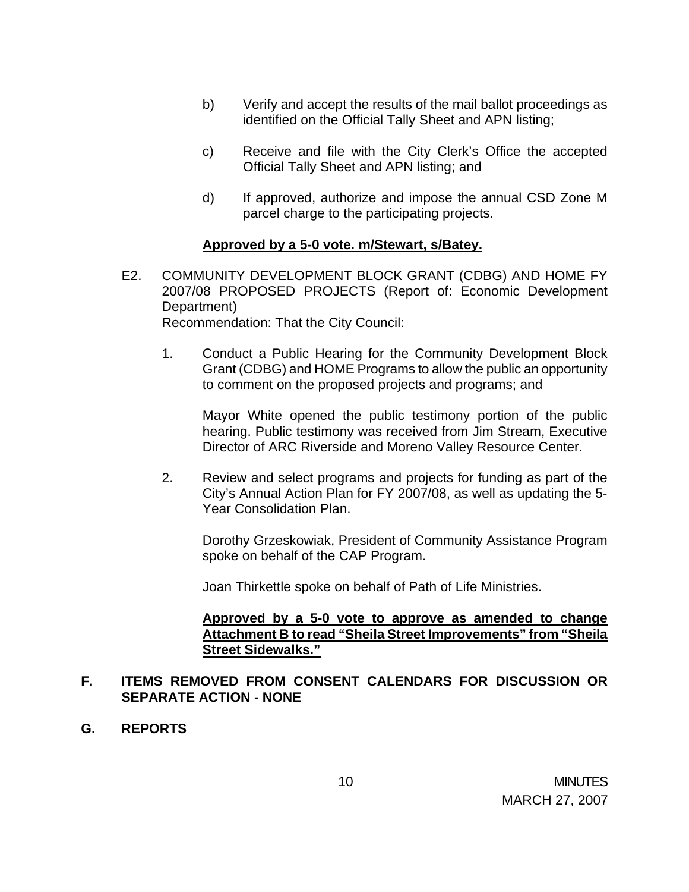- b) Verify and accept the results of the mail ballot proceedings as identified on the Official Tally Sheet and APN listing;
- c) Receive and file with the City Clerk's Office the accepted Official Tally Sheet and APN listing; and
- d) If approved, authorize and impose the annual CSD Zone M parcel charge to the participating projects.

### **Approved by a 5-0 vote. m/Stewart, s/Batey.**

- E2. COMMUNITY DEVELOPMENT BLOCK GRANT (CDBG) AND HOME FY 2007/08 PROPOSED PROJECTS (Report of: Economic Development Department) Recommendation: That the City Council:
	- 1. Conduct a Public Hearing for the Community Development Block Grant (CDBG) and HOME Programs to allow the public an opportunity to comment on the proposed projects and programs; and

 Mayor White opened the public testimony portion of the public hearing. Public testimony was received from Jim Stream, Executive Director of ARC Riverside and Moreno Valley Resource Center.

2. Review and select programs and projects for funding as part of the City's Annual Action Plan for FY 2007/08, as well as updating the 5- Year Consolidation Plan.

 Dorothy Grzeskowiak, President of Community Assistance Program spoke on behalf of the CAP Program.

Joan Thirkettle spoke on behalf of Path of Life Ministries.

### **Approved by a 5-0 vote to approve as amended to change Attachment B to read "Sheila Street Improvements" from "Sheila Street Sidewalks."**

## **F. ITEMS REMOVED FROM CONSENT CALENDARS FOR DISCUSSION OR SEPARATE ACTION - NONE**

**G. REPORTS**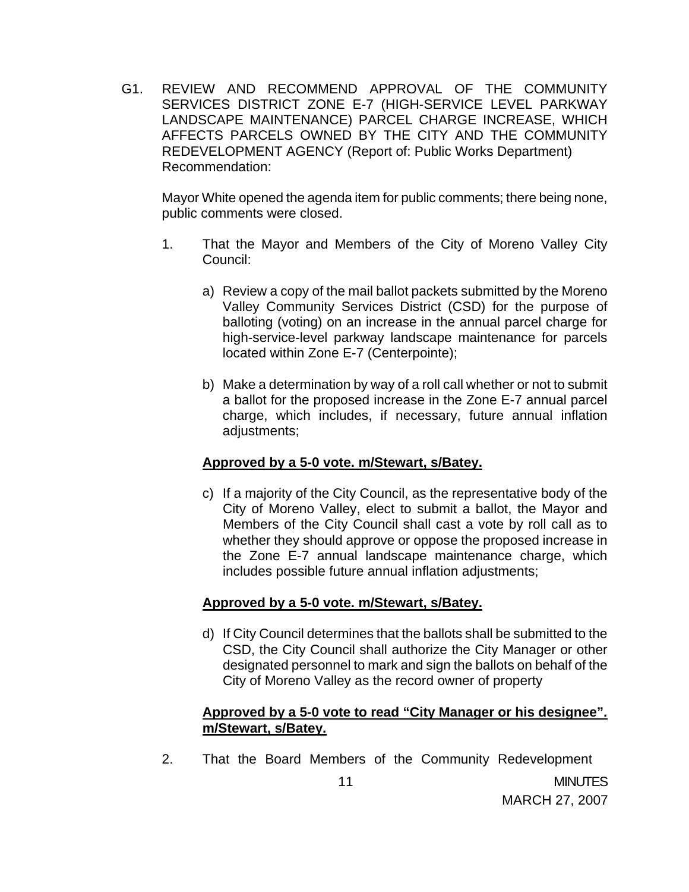G1. REVIEW AND RECOMMEND APPROVAL OF THE COMMUNITY SERVICES DISTRICT ZONE E-7 (HIGH-SERVICE LEVEL PARKWAY LANDSCAPE MAINTENANCE) PARCEL CHARGE INCREASE, WHICH AFFECTS PARCELS OWNED BY THE CITY AND THE COMMUNITY REDEVELOPMENT AGENCY (Report of: Public Works Department) Recommendation:

 Mayor White opened the agenda item for public comments; there being none, public comments were closed.

- 1. That the Mayor and Members of the City of Moreno Valley City Council:
	- a) Review a copy of the mail ballot packets submitted by the Moreno Valley Community Services District (CSD) for the purpose of balloting (voting) on an increase in the annual parcel charge for high-service-level parkway landscape maintenance for parcels located within Zone E-7 (Centerpointe);
	- b) Make a determination by way of a roll call whether or not to submit a ballot for the proposed increase in the Zone E-7 annual parcel charge, which includes, if necessary, future annual inflation adjustments;

### **Approved by a 5-0 vote. m/Stewart, s/Batey.**

c) If a majority of the City Council, as the representative body of the City of Moreno Valley, elect to submit a ballot, the Mayor and Members of the City Council shall cast a vote by roll call as to whether they should approve or oppose the proposed increase in the Zone E-7 annual landscape maintenance charge, which includes possible future annual inflation adjustments;

## **Approved by a 5-0 vote. m/Stewart, s/Batey.**

d) If City Council determines that the ballots shall be submitted to the CSD, the City Council shall authorize the City Manager or other designated personnel to mark and sign the ballots on behalf of the City of Moreno Valley as the record owner of property

### **Approved by a 5-0 vote to read "City Manager or his designee". m/Stewart, s/Batey.**

2. That the Board Members of the Community Redevelopment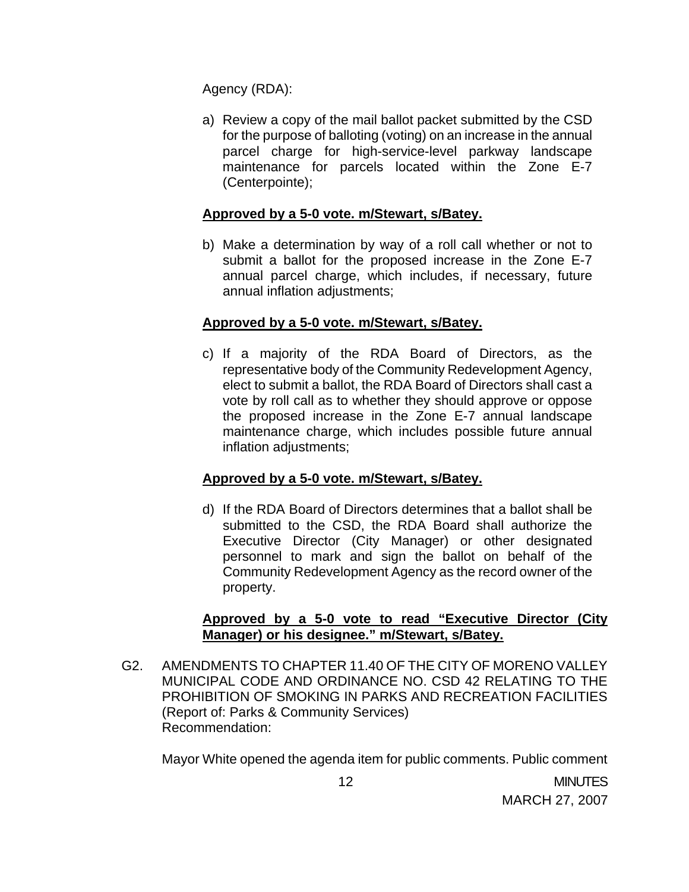Agency (RDA):

a) Review a copy of the mail ballot packet submitted by the CSD for the purpose of balloting (voting) on an increase in the annual parcel charge for high-service-level parkway landscape maintenance for parcels located within the Zone E-7 (Centerpointe);

## **Approved by a 5-0 vote. m/Stewart, s/Batey.**

b) Make a determination by way of a roll call whether or not to submit a ballot for the proposed increase in the Zone E-7 annual parcel charge, which includes, if necessary, future annual inflation adjustments;

## **Approved by a 5-0 vote. m/Stewart, s/Batey.**

c) If a majority of the RDA Board of Directors, as the representative body of the Community Redevelopment Agency, elect to submit a ballot, the RDA Board of Directors shall cast a vote by roll call as to whether they should approve or oppose the proposed increase in the Zone E-7 annual landscape maintenance charge, which includes possible future annual inflation adjustments;

## **Approved by a 5-0 vote. m/Stewart, s/Batey.**

d) If the RDA Board of Directors determines that a ballot shall be submitted to the CSD, the RDA Board shall authorize the Executive Director (City Manager) or other designated personnel to mark and sign the ballot on behalf of the Community Redevelopment Agency as the record owner of the property.

## **Approved by a 5-0 vote to read "Executive Director (City Manager) or his designee." m/Stewart, s/Batey.**

G2. AMENDMENTS TO CHAPTER 11.40 OF THE CITY OF MORENO VALLEY MUNICIPAL CODE AND ORDINANCE NO. CSD 42 RELATING TO THE PROHIBITION OF SMOKING IN PARKS AND RECREATION FACILITIES (Report of: Parks & Community Services) Recommendation:

Mayor White opened the agenda item for public comments. Public comment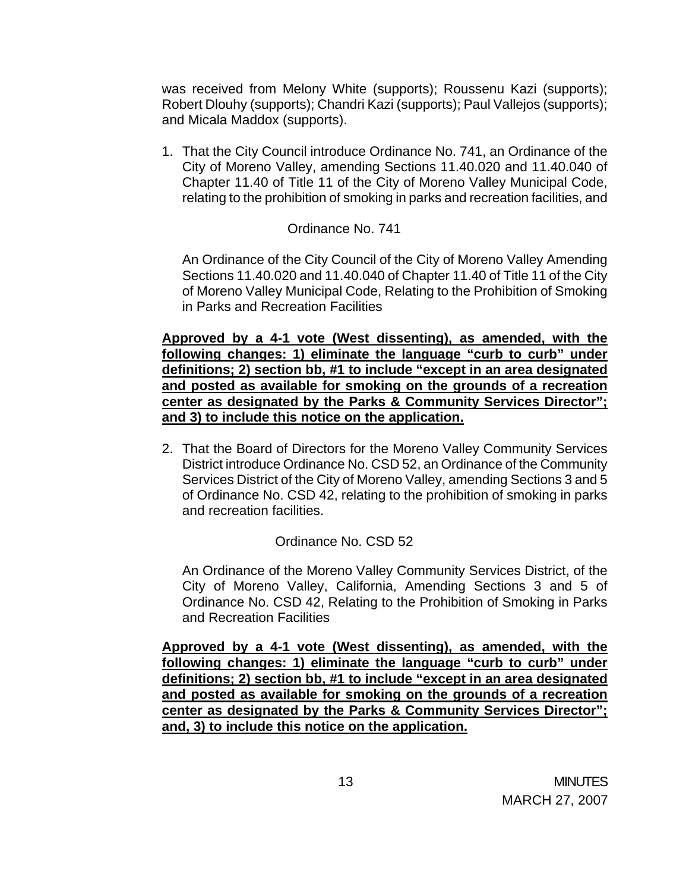was received from Melony White (supports); Roussenu Kazi (supports); Robert Dlouhy (supports); Chandri Kazi (supports); Paul Vallejos (supports); and Micala Maddox (supports).

1. That the City Council introduce Ordinance No. 741, an Ordinance of the City of Moreno Valley, amending Sections 11.40.020 and 11.40.040 of Chapter 11.40 of Title 11 of the City of Moreno Valley Municipal Code, relating to the prohibition of smoking in parks and recreation facilities, and

### Ordinance No. 741

An Ordinance of the City Council of the City of Moreno Valley Amending Sections 11.40.020 and 11.40.040 of Chapter 11.40 of Title 11 of the City of Moreno Valley Municipal Code, Relating to the Prohibition of Smoking in Parks and Recreation Facilities

**Approved by a 4-1 vote (West dissenting), as amended, with the following changes: 1) eliminate the language "curb to curb" under definitions; 2) section bb, #1 to include "except in an area designated and posted as available for smoking on the grounds of a recreation center as designated by the Parks & Community Services Director"; and 3) to include this notice on the application.**

2. That the Board of Directors for the Moreno Valley Community Services District introduce Ordinance No. CSD 52, an Ordinance of the Community Services District of the City of Moreno Valley, amending Sections 3 and 5 of Ordinance No. CSD 42, relating to the prohibition of smoking in parks and recreation facilities.

### Ordinance No. CSD 52

 An Ordinance of the Moreno Valley Community Services District, of the City of Moreno Valley, California, Amending Sections 3 and 5 of Ordinance No. CSD 42, Relating to the Prohibition of Smoking in Parks and Recreation Facilities

**Approved by a 4-1 vote (West dissenting), as amended, with the following changes: 1) eliminate the language "curb to curb" under definitions; 2) section bb, #1 to include "except in an area designated and posted as available for smoking on the grounds of a recreation center as designated by the Parks & Community Services Director"; and, 3) to include this notice on the application.**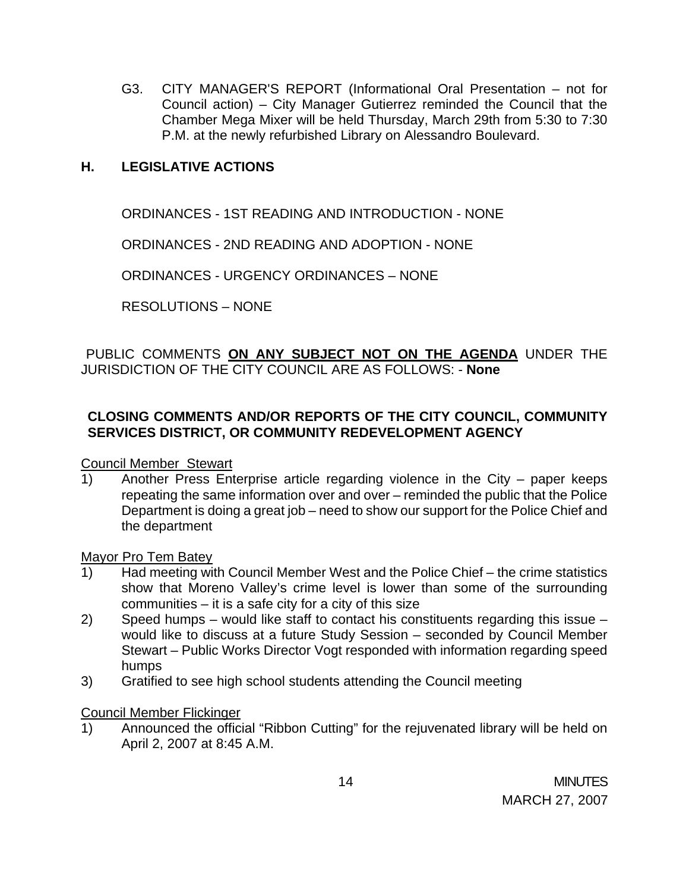G3. CITY MANAGER'S REPORT (Informational Oral Presentation – not for Council action) – City Manager Gutierrez reminded the Council that the Chamber Mega Mixer will be held Thursday, March 29th from 5:30 to 7:30 P.M. at the newly refurbished Library on Alessandro Boulevard.

## **H. LEGISLATIVE ACTIONS**

ORDINANCES - 1ST READING AND INTRODUCTION - NONE

ORDINANCES - 2ND READING AND ADOPTION - NONE

ORDINANCES - URGENCY ORDINANCES – NONE

RESOLUTIONS – NONE

## PUBLIC COMMENTS **ON ANY SUBJECT NOT ON THE AGENDA** UNDER THE JURISDICTION OF THE CITY COUNCIL ARE AS FOLLOWS: - **None**

# **CLOSING COMMENTS AND/OR REPORTS OF THE CITY COUNCIL, COMMUNITY SERVICES DISTRICT, OR COMMUNITY REDEVELOPMENT AGENCY**

Council Member Stewart

1) Another Press Enterprise article regarding violence in the City – paper keeps repeating the same information over and over – reminded the public that the Police Department is doing a great job – need to show our support for the Police Chief and the department

### Mayor Pro Tem Batey

- 1) Had meeting with Council Member West and the Police Chief the crime statistics show that Moreno Valley's crime level is lower than some of the surrounding communities – it is a safe city for a city of this size
- 2) Speed humps would like staff to contact his constituents regarding this issue would like to discuss at a future Study Session – seconded by Council Member Stewart – Public Works Director Vogt responded with information regarding speed humps
- 3) Gratified to see high school students attending the Council meeting

### Council Member Flickinger

1) Announced the official "Ribbon Cutting" for the rejuvenated library will be held on April 2, 2007 at 8:45 A.M.